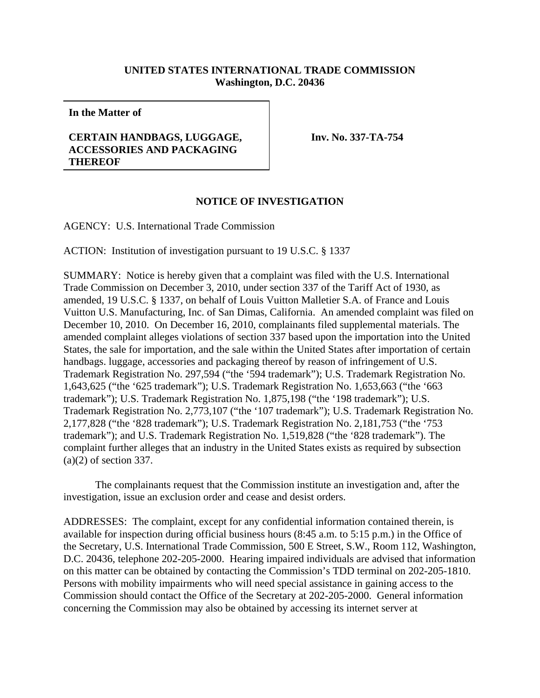## **UNITED STATES INTERNATIONAL TRADE COMMISSION Washington, D.C. 20436**

**In the Matter of**

## **CERTAIN HANDBAGS, LUGGAGE, ACCESSORIES AND PACKAGING THEREOF**

**Inv. No. 337-TA-754**

## **NOTICE OF INVESTIGATION**

AGENCY: U.S. International Trade Commission

ACTION: Institution of investigation pursuant to 19 U.S.C. § 1337

SUMMARY: Notice is hereby given that a complaint was filed with the U.S. International Trade Commission on December 3, 2010, under section 337 of the Tariff Act of 1930, as amended, 19 U.S.C. § 1337, on behalf of Louis Vuitton Malletier S.A. of France and Louis Vuitton U.S. Manufacturing, Inc. of San Dimas, California. An amended complaint was filed on December 10, 2010. On December 16, 2010, complainants filed supplemental materials. The amended complaint alleges violations of section 337 based upon the importation into the United States, the sale for importation, and the sale within the United States after importation of certain handbags. luggage, accessories and packaging thereof by reason of infringement of U.S. Trademark Registration No. 297,594 ("the '594 trademark"); U.S. Trademark Registration No. 1,643,625 ("the '625 trademark"); U.S. Trademark Registration No. 1,653,663 ("the '663 trademark"); U.S. Trademark Registration No. 1,875,198 ("the '198 trademark"); U.S. Trademark Registration No. 2,773,107 ("the '107 trademark"); U.S. Trademark Registration No. 2,177,828 ("the '828 trademark"); U.S. Trademark Registration No. 2,181,753 ("the '753 trademark"); and U.S. Trademark Registration No. 1,519,828 ("the '828 trademark"). The complaint further alleges that an industry in the United States exists as required by subsection (a)(2) of section 337.

The complainants request that the Commission institute an investigation and, after the investigation, issue an exclusion order and cease and desist orders.

ADDRESSES: The complaint, except for any confidential information contained therein, is available for inspection during official business hours (8:45 a.m. to 5:15 p.m.) in the Office of the Secretary, U.S. International Trade Commission, 500 E Street, S.W., Room 112, Washington, D.C. 20436, telephone 202-205-2000. Hearing impaired individuals are advised that information on this matter can be obtained by contacting the Commission's TDD terminal on 202-205-1810. Persons with mobility impairments who will need special assistance in gaining access to the Commission should contact the Office of the Secretary at 202-205-2000. General information concerning the Commission may also be obtained by accessing its internet server at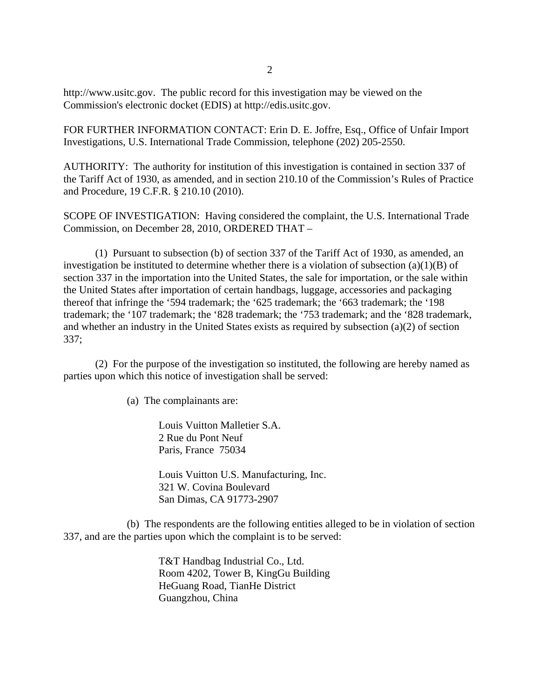http://www.usitc.gov. The public record for this investigation may be viewed on the Commission's electronic docket (EDIS) at http://edis.usitc.gov.

FOR FURTHER INFORMATION CONTACT: Erin D. E. Joffre, Esq., Office of Unfair Import Investigations, U.S. International Trade Commission, telephone (202) 205-2550.

AUTHORITY: The authority for institution of this investigation is contained in section 337 of the Tariff Act of 1930, as amended, and in section 210.10 of the Commission's Rules of Practice and Procedure, 19 C.F.R. § 210.10 (2010).

SCOPE OF INVESTIGATION: Having considered the complaint, the U.S. International Trade Commission, on December 28, 2010, ORDERED THAT –

(1) Pursuant to subsection (b) of section 337 of the Tariff Act of 1930, as amended, an investigation be instituted to determine whether there is a violation of subsection (a)(1)(B) of section 337 in the importation into the United States, the sale for importation, or the sale within the United States after importation of certain handbags, luggage, accessories and packaging thereof that infringe the '594 trademark; the '625 trademark; the '663 trademark; the '198 trademark; the '107 trademark; the '828 trademark; the '753 trademark; and the '828 trademark, and whether an industry in the United States exists as required by subsection (a)(2) of section 337;

(2) For the purpose of the investigation so instituted, the following are hereby named as parties upon which this notice of investigation shall be served:

(a) The complainants are:

Louis Vuitton Malletier S.A. 2 Rue du Pont Neuf Paris, France 75034

Louis Vuitton U.S. Manufacturing, Inc. 321 W. Covina Boulevard San Dimas, CA 91773-2907

(b) The respondents are the following entities alleged to be in violation of section 337, and are the parties upon which the complaint is to be served:

> T&T Handbag Industrial Co., Ltd. Room 4202, Tower B, KingGu Building HeGuang Road, TianHe District Guangzhou, China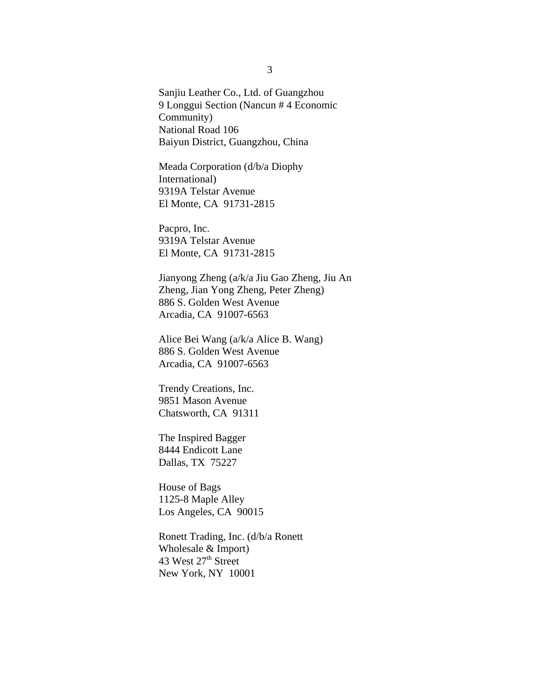Sanjiu Leather Co., Ltd. of Guangzhou 9 Longgui Section (Nancun # 4 Economic Community) National Road 106 Baiyun District, Guangzhou, China

Meada Corporation (d/b/a Diophy International) 9319A Telstar Avenue El Monte, CA 91731-2815

Pacpro, Inc. 9319A Telstar Avenue El Monte, CA 91731-2815

Jianyong Zheng (a/k/a Jiu Gao Zheng, Jiu An Zheng, Jian Yong Zheng, Peter Zheng) 886 S. Golden West Avenue Arcadia, CA 91007-6563

Alice Bei Wang (a/k/a Alice B. Wang) 886 S. Golden West Avenue Arcadia, CA 91007-6563

Trendy Creations, Inc. 9851 Mason Avenue Chatsworth, CA 91311

The Inspired Bagger 8444 Endicott Lane Dallas, TX 75227

House of Bags 1125-8 Maple Alley Los Angeles, CA 90015

Ronett Trading, Inc. (d/b/a Ronett Wholesale & Import) 43 West 27<sup>th</sup> Street New York, NY 10001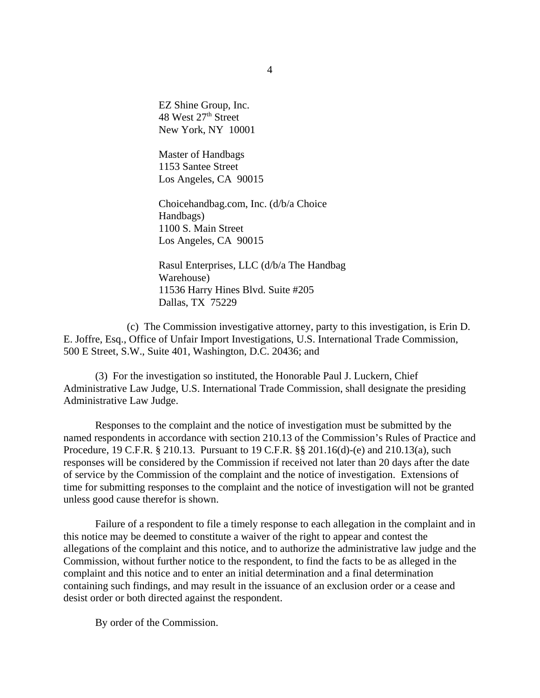EZ Shine Group, Inc. 48 West 27<sup>th</sup> Street New York, NY 10001

Master of Handbags 1153 Santee Street Los Angeles, CA 90015

Choicehandbag.com, Inc. (d/b/a Choice Handbags) 1100 S. Main Street Los Angeles, CA 90015

Rasul Enterprises, LLC (d/b/a The Handbag Warehouse) 11536 Harry Hines Blvd. Suite #205 Dallas, TX 75229

(c) The Commission investigative attorney, party to this investigation, is Erin D. E. Joffre, Esq., Office of Unfair Import Investigations, U.S. International Trade Commission, 500 E Street, S.W., Suite 401, Washington, D.C. 20436; and

(3) For the investigation so instituted, the Honorable Paul J. Luckern, Chief Administrative Law Judge, U.S. International Trade Commission, shall designate the presiding Administrative Law Judge.

Responses to the complaint and the notice of investigation must be submitted by the named respondents in accordance with section 210.13 of the Commission's Rules of Practice and Procedure, 19 C.F.R. § 210.13. Pursuant to 19 C.F.R. §§ 201.16(d)-(e) and 210.13(a), such responses will be considered by the Commission if received not later than 20 days after the date of service by the Commission of the complaint and the notice of investigation. Extensions of time for submitting responses to the complaint and the notice of investigation will not be granted unless good cause therefor is shown.

Failure of a respondent to file a timely response to each allegation in the complaint and in this notice may be deemed to constitute a waiver of the right to appear and contest the allegations of the complaint and this notice, and to authorize the administrative law judge and the Commission, without further notice to the respondent, to find the facts to be as alleged in the complaint and this notice and to enter an initial determination and a final determination containing such findings, and may result in the issuance of an exclusion order or a cease and desist order or both directed against the respondent.

By order of the Commission.